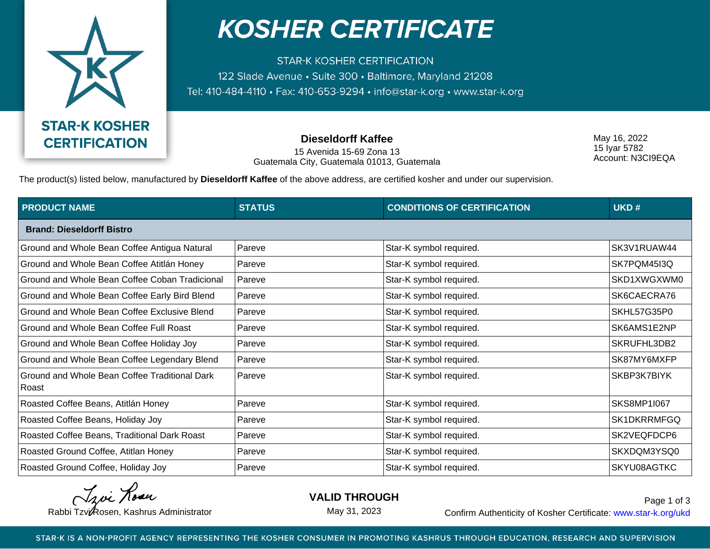

## **KOSHER CERTIFICATE**

**STAR-K KOSHER CERTIFICATION** 122 Slade Avenue • Suite 300 • Baltimore, Maryland 21208 Tel: 410-484-4110 · Fax: 410-653-9294 · info@star-k.org · www.star-k.org

**Dieseldorff Kaffee**

15 Avenida 15-69 Zona 13 Guatemala City, Guatemala 01013, Guatemala May 16, 2022 15 Iyar 5782 Account: N3CI9EQA

The product(s) listed below, manufactured by **Dieseldorff Kaffee** of the above address, are certified kosher and under our supervision.

| <b>PRODUCT NAME</b>                                    | <b>STATUS</b> | <b>CONDITIONS OF CERTIFICATION</b> | UKD#               |  |  |
|--------------------------------------------------------|---------------|------------------------------------|--------------------|--|--|
| <b>Brand: Dieseldorff Bistro</b>                       |               |                                    |                    |  |  |
| Ground and Whole Bean Coffee Antigua Natural           | Pareve        | Star-K symbol required.            | SK3V1RUAW44        |  |  |
| Ground and Whole Bean Coffee Atitlán Honey             | Pareve        | Star-K symbol required.            | SK7PQM45I3Q        |  |  |
| Ground and Whole Bean Coffee Coban Tradicional         | Pareve        | Star-K symbol required.            | SKD1XWGXWM0        |  |  |
| Ground and Whole Bean Coffee Early Bird Blend          | Pareve        | Star-K symbol required.            | SK6CAECRA76        |  |  |
| Ground and Whole Bean Coffee Exclusive Blend           | Pareve        | Star-K symbol required.            | SKHL57G35P0        |  |  |
| <b>Ground and Whole Bean Coffee Full Roast</b>         | Pareve        | Star-K symbol required.            | SK6AMS1E2NP        |  |  |
| Ground and Whole Bean Coffee Holiday Joy               | Pareve        | Star-K symbol required.            | SKRUFHL3DB2        |  |  |
| Ground and Whole Bean Coffee Legendary Blend           | Pareve        | Star-K symbol required.            | SK87MY6MXFP        |  |  |
| Ground and Whole Bean Coffee Traditional Dark<br>Roast | Pareve        | Star-K symbol required.            | SKBP3K7BIYK        |  |  |
| Roasted Coffee Beans, Atitlán Honey                    | Pareve        | Star-K symbol required.            | <b>SKS8MP1I067</b> |  |  |
| Roasted Coffee Beans, Holiday Joy                      | Pareve        | Star-K symbol required.            | SK1DKRRMFGQ        |  |  |
| Roasted Coffee Beans, Traditional Dark Roast           | Pareve        | Star-K symbol required.            | SK2VEQFDCP6        |  |  |
| Roasted Ground Coffee, Atitlan Honey                   | Pareve        | Star-K symbol required.            | SKXDQM3YSQ0        |  |  |
| Roasted Ground Coffee, Holiday Joy                     | Pareve        | Star-K symbol required.            | SKYU08AGTKC        |  |  |

Tzvi Rosa

**VALID THROUGH**

May 31, 2023

Rabbi Tzvi Rosen, Kashrus Administrator **Confirm Authenticity of Kosher Certificate:** www.star-k.org/ukd Page 1 of 3

STAR-K IS A NON-PROFIT AGENCY REPRESENTING THE KOSHER CONSUMER IN PROMOTING KASHRUS THROUGH EDUCATION, RESEARCH AND SUPERVISION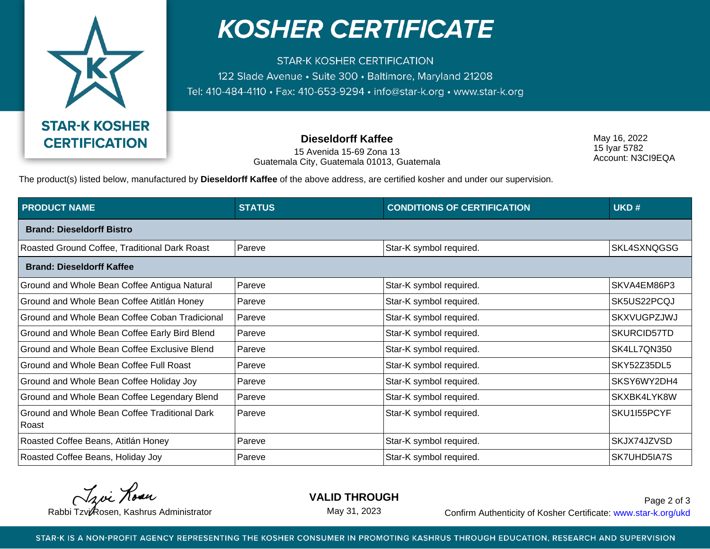

## **KOSHER CERTIFICATE**

**STAR-K KOSHER CERTIFICATION** 122 Slade Avenue • Suite 300 • Baltimore, Maryland 21208 Tel: 410-484-4110 · Fax: 410-653-9294 · info@star-k.org · www.star-k.org

**Dieseldorff Kaffee**

15 Avenida 15-69 Zona 13 Guatemala City, Guatemala 01013, Guatemala May 16, 2022 15 Iyar 5782 Account: N3CI9EQA

The product(s) listed below, manufactured by **Dieseldorff Kaffee** of the above address, are certified kosher and under our supervision.

| <b>PRODUCT NAME</b>                                    | <b>STATUS</b> | <b>CONDITIONS OF CERTIFICATION</b> | UKD#        |  |  |
|--------------------------------------------------------|---------------|------------------------------------|-------------|--|--|
| <b>Brand: Dieseldorff Bistro</b>                       |               |                                    |             |  |  |
| Roasted Ground Coffee, Traditional Dark Roast          | Pareve        | Star-K symbol required.            | SKL4SXNQGSG |  |  |
| <b>Brand: Dieseldorff Kaffee</b>                       |               |                                    |             |  |  |
| Ground and Whole Bean Coffee Antigua Natural           | Pareve        | Star-K symbol required.            | SKVA4EM86P3 |  |  |
| Ground and Whole Bean Coffee Atitlán Honey             | Pareve        | Star-K symbol required.            | SK5US22PCQJ |  |  |
| Ground and Whole Bean Coffee Coban Tradicional         | Pareve        | Star-K symbol required.            | SKXVUGPZJWJ |  |  |
| Ground and Whole Bean Coffee Early Bird Blend          | Pareve        | Star-K symbol required.            | SKURCID57TD |  |  |
| Ground and Whole Bean Coffee Exclusive Blend           | Pareve        | Star-K symbol required.            | SK4LL7QN350 |  |  |
| <b>Ground and Whole Bean Coffee Full Roast</b>         | Pareve        | Star-K symbol required.            | SKY52Z35DL5 |  |  |
| Ground and Whole Bean Coffee Holiday Joy               | Pareve        | Star-K symbol required.            | SKSY6WY2DH4 |  |  |
| Ground and Whole Bean Coffee Legendary Blend           | Pareve        | Star-K symbol required.            | SKXBK4LYK8W |  |  |
| Ground and Whole Bean Coffee Traditional Dark<br>Roast | Pareve        | Star-K symbol required.            | SKU1155PCYF |  |  |
| Roasted Coffee Beans, Atitlán Honey                    | Pareve        | Star-K symbol required.            | SKJX74JZVSD |  |  |
| Roasted Coffee Beans, Holiday Joy                      | Pareve        | Star-K symbol required.            | SK7UHD5IA7S |  |  |

Troi Rosen

**VALID THROUGH**

May 31, 2023

Rabbi Tzvi Rosen, Kashrus Administrator **Confirm Authenticity of Kosher Certificate:** www.star-k.org/ukd Page 2 of 3

STAR-K IS A NON-PROFIT AGENCY REPRESENTING THE KOSHER CONSUMER IN PROMOTING KASHRUS THROUGH EDUCATION, RESEARCH AND SUPERVISION